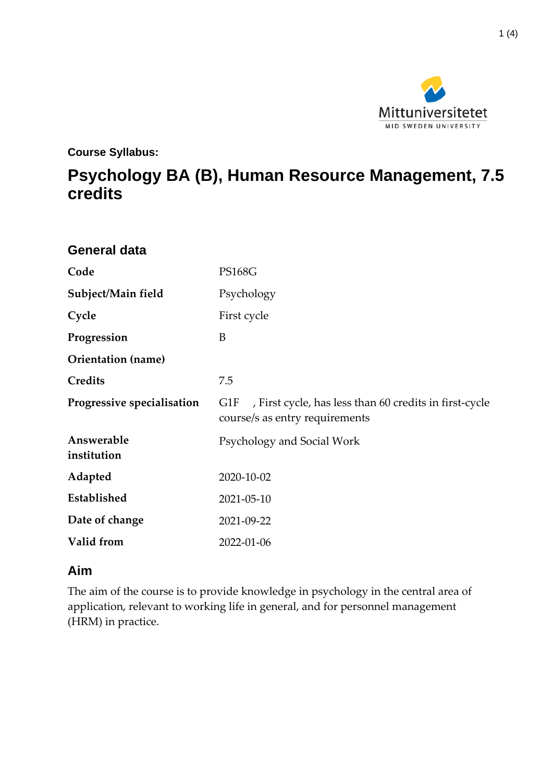

**Course Syllabus:**

# **Psychology BA (B), Human Resource Management, 7.5 credits**

| <b>General data</b>        |                                                                                                 |
|----------------------------|-------------------------------------------------------------------------------------------------|
| Code                       | <b>PS168G</b>                                                                                   |
| Subject/Main field         | Psychology                                                                                      |
| Cycle                      | First cycle                                                                                     |
| Progression                | B                                                                                               |
| Orientation (name)         |                                                                                                 |
| <b>Credits</b>             | 7.5                                                                                             |
| Progressive specialisation | , First cycle, has less than 60 credits in first-cycle<br>G1F<br>course/s as entry requirements |
| Answerable<br>institution  | Psychology and Social Work                                                                      |
| Adapted                    | 2020-10-02                                                                                      |
| Established                | 2021-05-10                                                                                      |
| Date of change             | 2021-09-22                                                                                      |
|                            |                                                                                                 |

#### **Aim**

The aim of the course is to provide knowledge in psychology in the central area of application, relevant to working life in general, and for personnel management (HRM) in practice.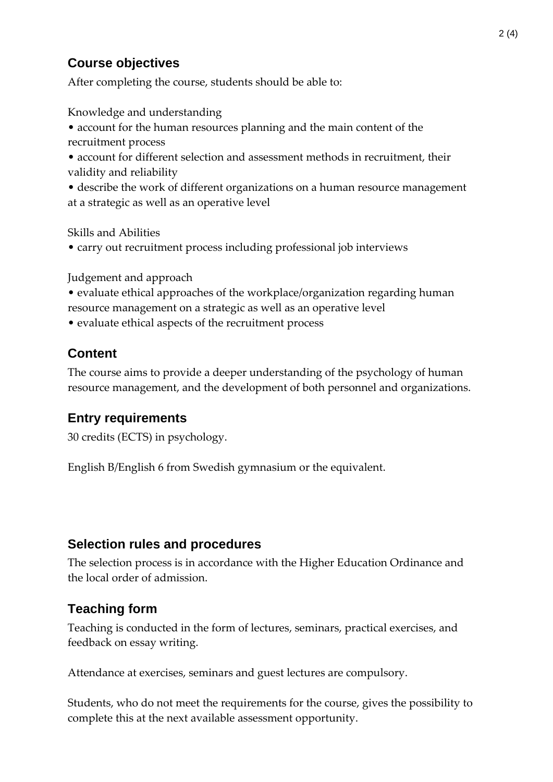## **Course objectives**

After completing the course, students should be able to:

Knowledge and understanding

- account for the human resources planning and the main content of the recruitment process
- account for different selection and assessment methods in recruitment, their validity and reliability
- describe the work of different organizations on a human resource management at a strategic as well as an operative level

Skills and Abilities

• carry out recruitment process including professional job interviews

Judgement and approach

- evaluate ethical approaches of the workplace/organization regarding human resource management on a strategic as well as an operative level
- evaluate ethical aspects of the recruitment process

## **Content**

The course aims to provide a deeper understanding of the psychology of human resource management, and the development of both personnel and organizations.

#### **Entry requirements**

30 credits (ECTS) in psychology.

English B/English 6 from Swedish gymnasium or the equivalent.

#### **Selection rules and procedures**

The selection process is in accordance with the Higher Education Ordinance and the local order of admission.

#### **Teaching form**

Teaching is conducted in the form of lectures, seminars, practical exercises, and feedback on essay writing.

Attendance at exercises, seminars and guest lectures are compulsory.

Students, who do not meet the requirements for the course, gives the possibility to complete this at the next available assessment opportunity.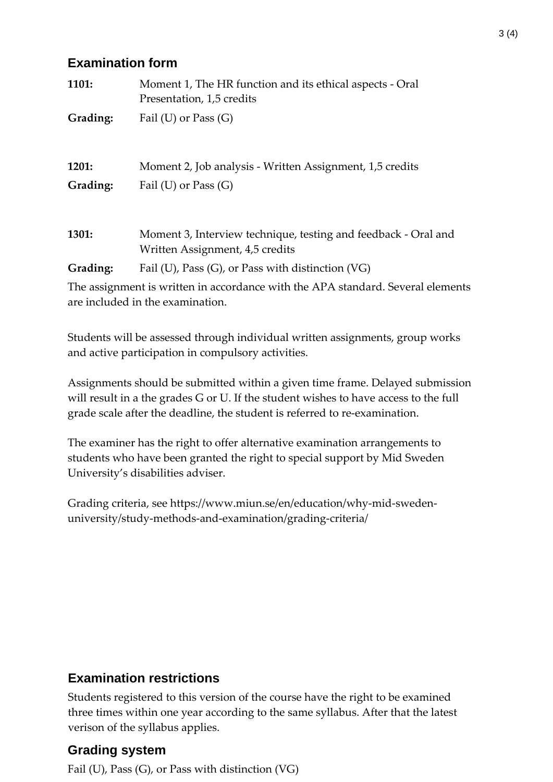#### **Examination form**

| 1101:    | Moment 1, The HR function and its ethical aspects - Oral<br>Presentation, 1,5 credits             |
|----------|---------------------------------------------------------------------------------------------------|
| Grading: | Fail (U) or Pass $(G)$                                                                            |
|          |                                                                                                   |
| 1201:    | Moment 2, Job analysis - Written Assignment, 1,5 credits                                          |
| Grading: | Fail (U) or Pass $(G)$                                                                            |
|          |                                                                                                   |
| 1301:    | Moment 3, Interview technique, testing and feedback - Oral and<br>Written Assignment, 4,5 credits |
| Grading: | Fail (U), Pass (G), or Pass with distinction (VG)                                                 |
|          | The assignment is written in accordance with the APA standard. Several elements                   |

are included in the examination.

Students will be assessed through individual written assignments, group works and active participation in compulsory activities.

Assignments should be submitted within a given time frame. Delayed submission will result in a the grades G or U. If the student wishes to have access to the full grade scale after the deadline, the student is referred to re-examination.

The examiner has the right to offer alternative examination arrangements to students who have been granted the right to special support by Mid Sweden University's disabilities adviser.

Grading criteria, see https://www.miun.se/en/education/why-mid-swedenuniversity/study-methods-and-examination/grading-criteria/

## **Examination restrictions**

Students registered to this version of the course have the right to be examined three times within one year according to the same syllabus. After that the latest verison of the syllabus applies.

#### **Grading system**

Fail (U), Pass (G), or Pass with distinction (VG)